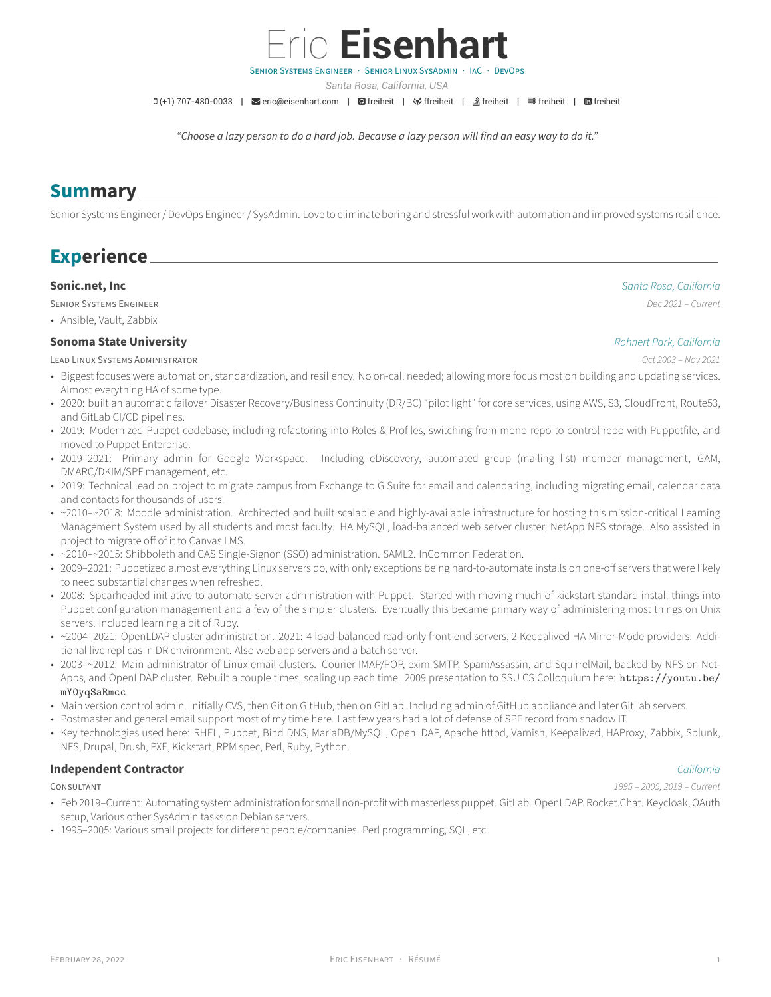

- setup, Various other SysAdmin tasks on Debian servers.
- 1995–2005: Various small projects for different people/companies. Perl programming, SQL, etc.

- Puppet configuration management and a few of the simpler clusters. Eventually this became primary way of administering most things on Unix
- ~2004–2021: OpenLDAP cluster administration. 2021: 4 load-balanced read-only front-end servers, 2 Keepalived HA Mirror-Mode providers. Additional live replicas in DR environment. Also web app servers and a batch server.
- 2003-~2012: Main administrator of Linux email clusters. Courier IMAP/POP, exim SMTP, SpamAssassin, and SquirrelMail, backed by NFS on NetApps, and OpenLDAP cluster. Rebuilt a couple times, scaling up each time. 2009 presentation to SSU CS Colloquium here: [https://youtu.be/](https://youtu.be/mY0yqSaRmcc) [mY0yqSaRmcc](https://youtu.be/mY0yqSaRmcc)
- Main version control admin. Initially CVS, then Git on GitHub, then on GitLab. Including admin of GitHub appliance and later GitLab servers.
- 
- Key technologies used here: RHEL, Puppet, Bind DNS, MariaDB/MySQL, OpenLDAP, Apache httpd, Varnish, Keepalived, HAProxy, Zabbix, Splunk,

## **Independent Contractor** *California*

## CONSULTANT *1995 – 2005, 2019 – Current*

LEAD LiNUX SYSTEMS ADMiNiSTRATOR *Oct 2003 – Nov 2021* • Biggest focuses were automation, standardization, and resiliency. No on‑call needed; allowing more focus most on building and updating services.

**[Sonoma State University](http://www.sonoma.edu)** *Rohnert Park, California*

- Almost everything HA of some type.
- 2020: built an automatic failover Disaster Recovery/Business Continuity (DR/BC) "pilot light" for core services, using AWS, S3, CloudFront, Route53,
- and GitLab CI/CD pipelines. • 2019: Modernized Puppet codebase, including refactoring into Roles & Profiles, switching from mono repo to control repo with Puppetfile, and
- moved to Puppet Enterprise. • 2019–2021: Primary admin for Google Workspace. Including eDiscovery, automated group (mailing list) member management, GAM,
- DMARC/DKIM/SPF management, etc.
- 2019: Technical lead on project to migrate campus from Exchange to G Suite for email and calendaring, including migrating email, calendar data and contacts for thousands of users.
- ~2010-~2018: Moodle administration. Architected and built scalable and highly-available infrastructure for hosting this mission-critical Learning Management System used by all students and most faculty. HA MySQL, load-balanced web server cluster, NetApp NFS storage. Also assisted in project to migrate off of it to Canvas LMS.
- ~2010-~2015: Shibboleth and CAS Single-Signon (SSO) administration. SAML2. InCommon Federation.
- 2009-2021: Puppetized almost everything Linux servers do, with only exceptions being hard-to-automate installs on one-off servers that were likely to need substantial changes when refreshed.
- 2008: Spearheaded initiative to automate server administration with Puppet. Started with moving much of kickstart standard install things into
	- servers. Included learning a bit of Ruby.
- 
- 
- 
- 
- Postmaster and general email support most of my time here. Last few years had a lot of defense of SPF record from shadow IT.
- NFS, Drupal, Drush, PXE, Kickstart, RPM spec, Perl, Ruby, Python.





*Santa Rosa, California, USA*

D(+1) 707-480-0033 | M[eric@eisenhart.com](mailto:eric@eisenhart.com) | **Ø** [freiheit](https://www.linkedin.com/in/freiheit) | ◆ [ffreiheit](https://gitlab.com/ffreiheit) | *s*freiheit | https://eineit | 面 freiheit

*"Choose a lazy person to do a hard job. Because a lazy person will find an easy way to do it."*

Senior Systems Engineer / DevOps Engineer / SysAdmin. Love to eliminate boring and stressful work with automation and improved systems resilience.

# **Summary**

**Experience**

• Ansible, Vault, Zabbix

**[Sonic.net, Inc](http://www.sonic.com)** *Santa Rosa, California*

SENiOR SYSTEMS ENGiNEER *Dec 2021 – Current*